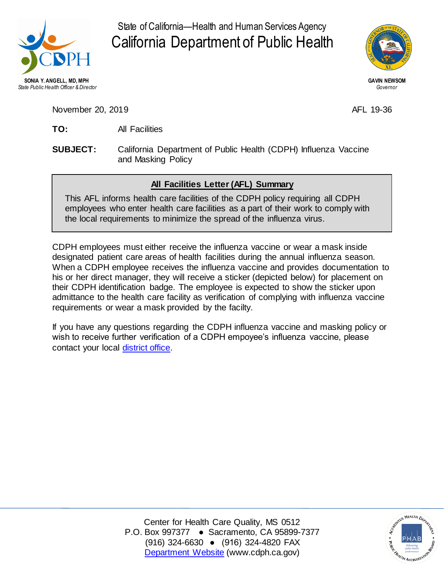

 State of California—Health and Human Services Agency California Department of Public Health



November 20, 2019 **AFL 19-36** 

- **TO:** All Facilities
- **SUBJECT:** California Department of Public Health (CDPH) Influenza Vaccine and Masking Policy

## **All Facilities Letter (AFL) Summary**

 This AFL informs health care facilities of the CDPH policy requiring all CDPH employees who enter health care facilities as a part of their work to comply with the local requirements to minimize the spread of the influenza virus.

 CDPH employees must either receive the influenza vaccine or wear a mask inside designated patient care areas of health facilities during the annual influenza season. When a CDPH employee receives the influenza vaccine and provides documentation to his or her direct manager, they will receive a sticker (depicted below) for placement on their CDPH identification badge. The employee is expected to show the sticker upon admittance to the health care facility as verification of complying with influenza vaccine requirements or wear a mask provided by the facilty.

 If you have any questions regarding the CDPH influenza vaccine and masking policy or wish to receive further verification of a CDPH empoyee's influenza vaccine, please contact your local [district office.](https://www.cdph.ca.gov/Programs/CHCQ/LCP/Pages/DistrictOffices.aspx)